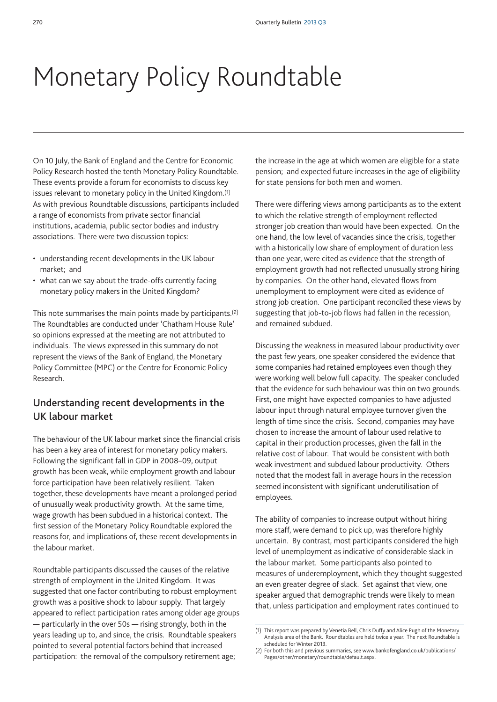## Monetary Policy Roundtable

On 10 July, the Bank of England and the Centre for Economic Policy Research hosted the tenth Monetary Policy Roundtable. These events provide a forum for economists to discuss key issues relevant to monetary policy in the United Kingdom.(1) As with previous Roundtable discussions, participants included a range of economists from private sector financial institutions, academia, public sector bodies and industry associations. There were two discussion topics:

- understanding recent developments in the UK labour market; and
- what can we say about the trade-offs currently facing monetary policy makers in the United Kingdom?

This note summarises the main points made by participants.(2) The Roundtables are conducted under 'Chatham House Rule' so opinions expressed at the meeting are not attributed to individuals. The views expressed in this summary do not represent the views of the Bank of England, the Monetary Policy Committee (MPC) or the Centre for Economic Policy Research.

## **Understanding recent developments in the UK labour market**

The behaviour of the UK labour market since the financial crisis has been a key area of interest for monetary policy makers. Following the significant fall in GDP in 2008–09, output growth has been weak, while employment growth and labour force participation have been relatively resilient. Taken together, these developments have meant a prolonged period of unusually weak productivity growth. At the same time, wage growth has been subdued in a historical context. The first session of the Monetary Policy Roundtable explored the reasons for, and implications of, these recent developments in the labour market.

Roundtable participants discussed the causes of the relative strength of employment in the United Kingdom. It was suggested that one factor contributing to robust employment growth was a positive shock to labour supply. That largely appeared to reflect participation rates among older age groups — particularly in the over 50s — rising strongly, both in the years leading up to, and since, the crisis. Roundtable speakers pointed to several potential factors behind that increased participation: the removal of the compulsory retirement age;

the increase in the age at which women are eligible for a state pension; and expected future increases in the age of eligibility for state pensions for both men and women.

There were differing views among participants as to the extent to which the relative strength of employment reflected stronger job creation than would have been expected. On the one hand, the low level of vacancies since the crisis, together with a historically low share of employment of duration less than one year, were cited as evidence that the strength of employment growth had not reflected unusually strong hiring by companies. On the other hand, elevated flows from unemployment to employment were cited as evidence of strong job creation. One participant reconciled these views by suggesting that job-to-job flows had fallen in the recession, and remained subdued.

Discussing the weakness in measured labour productivity over the past few years, one speaker considered the evidence that some companies had retained employees even though they were working well below full capacity. The speaker concluded that the evidence for such behaviour was thin on two grounds. First, one might have expected companies to have adjusted labour input through natural employee turnover given the length of time since the crisis. Second, companies may have chosen to increase the amount of labour used relative to capital in their production processes, given the fall in the relative cost of labour. That would be consistent with both weak investment and subdued labour productivity. Others noted that the modest fall in average hours in the recession seemed inconsistent with significant underutilisation of employees.

The ability of companies to increase output without hiring more staff, were demand to pick up, was therefore highly uncertain. By contrast, most participants considered the high level of unemployment as indicative of considerable slack in the labour market. Some participants also pointed to measures of underemployment, which they thought suggested an even greater degree of slack. Set against that view, one speaker argued that demographic trends were likely to mean that, unless participation and employment rates continued to

<sup>(1)</sup> This report was prepared by Venetia Bell, Chris Duffy and Alice Pugh of the Monetary Analysis area of the Bank. Roundtables are held twice a year. The next Roundtable is scheduled for Winter 2013.

<sup>(2)</sup> [For both this and previous summaries, see www.bankofengland.co.uk/publications/](www.bankofengland.co.uk/publications/Pages/other/monetary/roundtable/default.aspx) Pages/other/monetary/roundtable/default.aspx.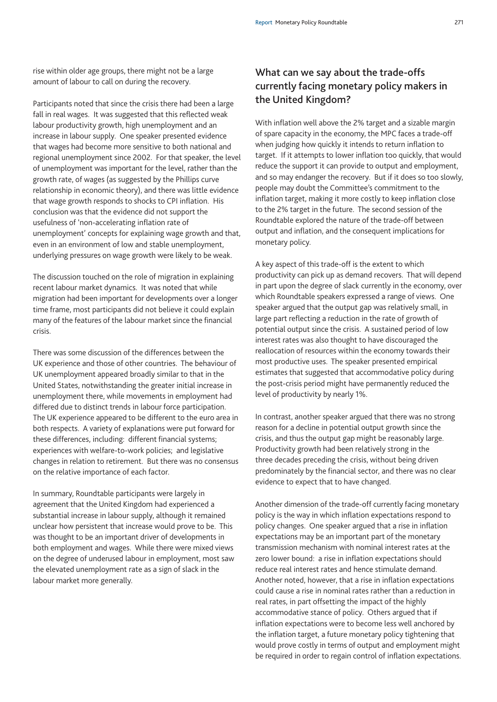Participants noted that since the crisis there had been a large fall in real wages. It was suggested that this reflected weak labour productivity growth, high unemployment and an increase in labour supply. One speaker presented evidence that wages had become more sensitive to both national and regional unemployment since 2002. For that speaker, the level of unemployment was important for the level, rather than the growth rate, of wages (as suggested by the Phillips curve relationship in economic theory), and there was little evidence that wage growth responds to shocks to CPI inflation. His conclusion was that the evidence did not support the usefulness of 'non-accelerating inflation rate of unemployment' concepts for explaining wage growth and that, even in an environment of low and stable unemployment, underlying pressures on wage growth were likely to be weak.

The discussion touched on the role of migration in explaining recent labour market dynamics. It was noted that while migration had been important for developments over a longer time frame, most participants did not believe it could explain many of the features of the labour market since the financial crisis.

There was some discussion of the differences between the UK experience and those of other countries. The behaviour of UK unemployment appeared broadly similar to that in the United States, notwithstanding the greater initial increase in unemployment there, while movements in employment had differed due to distinct trends in labour force participation. The UK experience appeared to be different to the euro area in both respects. A variety of explanations were put forward for these differences, including: different financial systems; experiences with welfare-to-work policies; and legislative changes in relation to retirement. But there was no consensus on the relative importance of each factor.

In summary, Roundtable participants were largely in agreement that the United Kingdom had experienced a substantial increase in labour supply, although it remained unclear how persistent that increase would prove to be. This was thought to be an important driver of developments in both employment and wages. While there were mixed views on the degree of underused labour in employment, most saw the elevated unemployment rate as a sign of slack in the labour market more generally.

## **What can we say about the trade-offs currently facing monetary policy makers in the United Kingdom?**

With inflation well above the 2% target and a sizable margin of spare capacity in the economy, the MPC faces a trade-off when judging how quickly it intends to return inflation to target. If it attempts to lower inflation too quickly, that would reduce the support it can provide to output and employment, and so may endanger the recovery. But if it does so too slowly, people may doubt the Committee's commitment to the inflation target, making it more costly to keep inflation close to the 2% target in the future. The second session of the Roundtable explored the nature of the trade-off between output and inflation, and the consequent implications for monetary policy.

A key aspect of this trade-off is the extent to which productivity can pick up as demand recovers. That will depend in part upon the degree of slack currently in the economy, over which Roundtable speakers expressed a range of views. One speaker argued that the output gap was relatively small, in large part reflecting a reduction in the rate of growth of potential output since the crisis. A sustained period of low interest rates was also thought to have discouraged the reallocation of resources within the economy towards their most productive uses. The speaker presented empirical estimates that suggested that accommodative policy during the post-crisis period might have permanently reduced the level of productivity by nearly 1%.

In contrast, another speaker argued that there was no strong reason for a decline in potential output growth since the crisis, and thus the output gap might be reasonably large. Productivity growth had been relatively strong in the three decades preceding the crisis, without being driven predominately by the financial sector, and there was no clear evidence to expect that to have changed.

Another dimension of the trade-off currently facing monetary policy is the way in which inflation expectations respond to policy changes. One speaker argued that a rise in inflation expectations may be an important part of the monetary transmission mechanism with nominal interest rates at the zero lower bound: a rise in inflation expectations should reduce real interest rates and hence stimulate demand. Another noted, however, that a rise in inflation expectations could cause a rise in nominal rates rather than a reduction in real rates, in part offsetting the impact of the highly accommodative stance of policy. Others argued that if inflation expectations were to become less well anchored by the inflation target, a future monetary policy tightening that would prove costly in terms of output and employment might be required in order to regain control of inflation expectations.